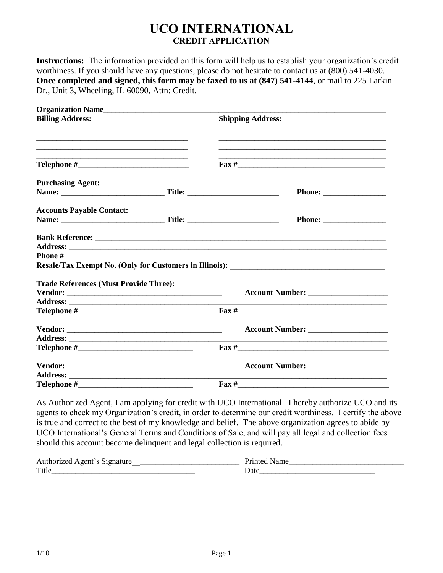# **UCO INTERNATIONAL CREDIT APPLICATION**

**Instructions:** The information provided on this form will help us to establish your organization's credit worthiness. If you should have any questions, please do not hesitate to contact us at (800) 541-4030. **Once completed and signed, this form may be faxed to us at (847) 541-4144**, or mail to 225 Larkin Dr., Unit 3, Wheeling, IL 60090, Attn: Credit.

| Organization Name                                                      |  |                                                                                                                       |
|------------------------------------------------------------------------|--|-----------------------------------------------------------------------------------------------------------------------|
| <b>Billing Address:</b>                                                |  | <b>Shipping Address:</b>                                                                                              |
| <u> 1989 - Johann Barn, mars an t-Amerikaansk komponister (* 1908)</u> |  | <u> 1989 - Johann John Stone, markin film ar yn y brenin y brenin y brenin y brenin y brenin y brenin y brenin y</u>  |
|                                                                        |  |                                                                                                                       |
| <b>Purchasing Agent:</b>                                               |  |                                                                                                                       |
|                                                                        |  |                                                                                                                       |
| <b>Accounts Payable Contact:</b>                                       |  |                                                                                                                       |
|                                                                        |  |                                                                                                                       |
|                                                                        |  |                                                                                                                       |
|                                                                        |  |                                                                                                                       |
|                                                                        |  |                                                                                                                       |
|                                                                        |  |                                                                                                                       |
| <b>Trade References (Must Provide Three):</b>                          |  |                                                                                                                       |
|                                                                        |  |                                                                                                                       |
|                                                                        |  |                                                                                                                       |
|                                                                        |  | $\text{Fax} \#$                                                                                                       |
|                                                                        |  |                                                                                                                       |
|                                                                        |  | <u> 1989 - Johann Barbara, martin amerikan basar dan berasal dalam berasal dalam basar dalam basar dalam basar da</u> |
|                                                                        |  |                                                                                                                       |
|                                                                        |  |                                                                                                                       |
|                                                                        |  | <u> 1980 - Jan James James James James James James James James James James James James James James James James J</u>  |
|                                                                        |  | $\text{Fax} \#$                                                                                                       |
|                                                                        |  |                                                                                                                       |

As Authorized Agent, I am applying for credit with UCO International. I hereby authorize UCO and its agents to check my Organization's credit, in order to determine our credit worthiness. I certify the above is true and correct to the best of my knowledge and belief. The above organization agrees to abide by UCO International's General Terms and Conditions of Sale, and will pay all legal and collection fees should this account become delinquent and legal collection is required.

| Authorized Agent's Signature |      |
|------------------------------|------|
| Title                        | Jate |